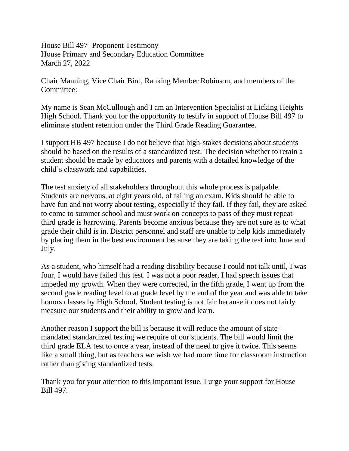House Bill 497- Proponent Testimony House Primary and Secondary Education Committee March 27, 2022

Chair Manning, Vice Chair Bird, Ranking Member Robinson, and members of the Committee:

My name is Sean McCullough and I am an Intervention Specialist at Licking Heights High School. Thank you for the opportunity to testify in support of House Bill 497 to eliminate student retention under the Third Grade Reading Guarantee.

I support HB 497 because I do not believe that high-stakes decisions about students should be based on the results of a standardized test. The decision whether to retain a student should be made by educators and parents with a detailed knowledge of the child's classwork and capabilities.

The test anxiety of all stakeholders throughout this whole process is palpable. Students are nervous, at eight years old, of failing an exam. Kids should be able to have fun and not worry about testing, especially if they fail. If they fail, they are asked to come to summer school and must work on concepts to pass of they must repeat third grade is harrowing. Parents become anxious because they are not sure as to what grade their child is in. District personnel and staff are unable to help kids immediately by placing them in the best environment because they are taking the test into June and July.

As a student, who himself had a reading disability because I could not talk until, I was four, I would have failed this test. I was not a poor reader, I had speech issues that impeded my growth. When they were corrected, in the fifth grade, I went up from the second grade reading level to at grade level by the end of the year and was able to take honors classes by High School. Student testing is not fair because it does not fairly measure our students and their ability to grow and learn.

Another reason I support the bill is because it will reduce the amount of statemandated standardized testing we require of our students. The bill would limit the third grade ELA test to once a year, instead of the need to give it twice. This seems like a small thing, but as teachers we wish we had more time for classroom instruction rather than giving standardized tests.

Thank you for your attention to this important issue. I urge your support for House Bill 497.